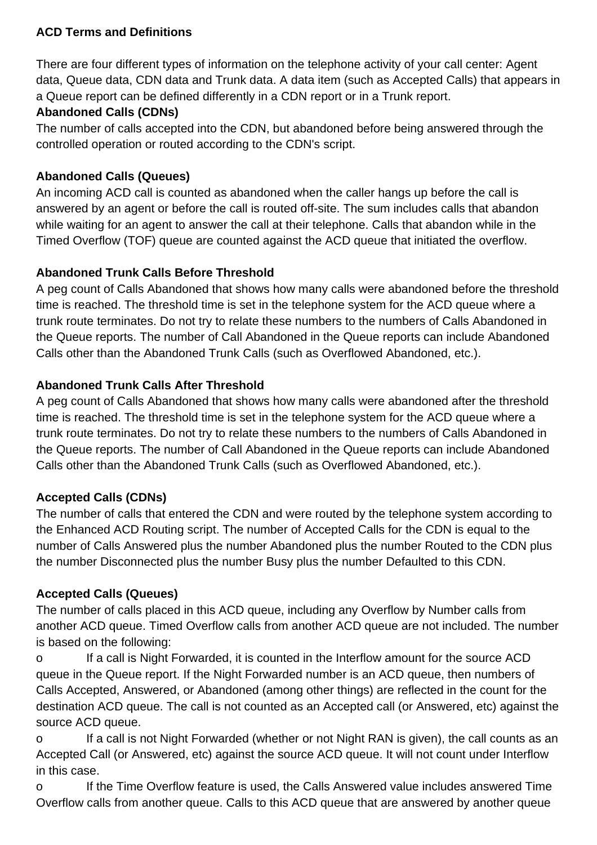## **ACD Terms and Definitions**

There are four different types of information on the telephone activity of your call center: Agent data, Queue data, CDN data and Trunk data. A data item (such as Accepted Calls) that appears in a Queue report can be defined differently in a CDN report or in a Trunk report.

## **Abandoned Calls (CDNs)**

The number of calls accepted into the CDN, but abandoned before being answered through the controlled operation or routed according to the CDN's script.

## **Abandoned Calls (Queues)**

An incoming ACD call is counted as abandoned when the caller hangs up before the call is answered by an agent or before the call is routed off-site. The sum includes calls that abandon while waiting for an agent to answer the call at their telephone. Calls that abandon while in the Timed Overflow (TOF) queue are counted against the ACD queue that initiated the overflow.

## **Abandoned Trunk Calls Before Threshold**

A peg count of Calls Abandoned that shows how many calls were abandoned before the threshold time is reached. The threshold time is set in the telephone system for the ACD queue where a trunk route terminates. Do not try to relate these numbers to the numbers of Calls Abandoned in the Queue reports. The number of Call Abandoned in the Queue reports can include Abandoned Calls other than the Abandoned Trunk Calls (such as Overflowed Abandoned, etc.).

## **Abandoned Trunk Calls After Threshold**

A peg count of Calls Abandoned that shows how many calls were abandoned after the threshold time is reached. The threshold time is set in the telephone system for the ACD queue where a trunk route terminates. Do not try to relate these numbers to the numbers of Calls Abandoned in the Queue reports. The number of Call Abandoned in the Queue reports can include Abandoned Calls other than the Abandoned Trunk Calls (such as Overflowed Abandoned, etc.).

## **Accepted Calls (CDNs)**

The number of calls that entered the CDN and were routed by the telephone system according to the Enhanced ACD Routing script. The number of Accepted Calls for the CDN is equal to the number of Calls Answered plus the number Abandoned plus the number Routed to the CDN plus the number Disconnected plus the number Busy plus the number Defaulted to this CDN.

## **Accepted Calls (Queues)**

The number of calls placed in this ACD queue, including any Overflow by Number calls from another ACD queue. Timed Overflow calls from another ACD queue are not included. The number is based on the following:

o If a call is Night Forwarded, it is counted in the Interflow amount for the source ACD queue in the Queue report. If the Night Forwarded number is an ACD queue, then numbers of Calls Accepted, Answered, or Abandoned (among other things) are reflected in the count for the destination ACD queue. The call is not counted as an Accepted call (or Answered, etc) against the source ACD queue.

o If a call is not Night Forwarded (whether or not Night RAN is given), the call counts as an Accepted Call (or Answered, etc) against the source ACD queue. It will not count under Interflow in this case.

o If the Time Overflow feature is used, the Calls Answered value includes answered Time Overflow calls from another queue. Calls to this ACD queue that are answered by another queue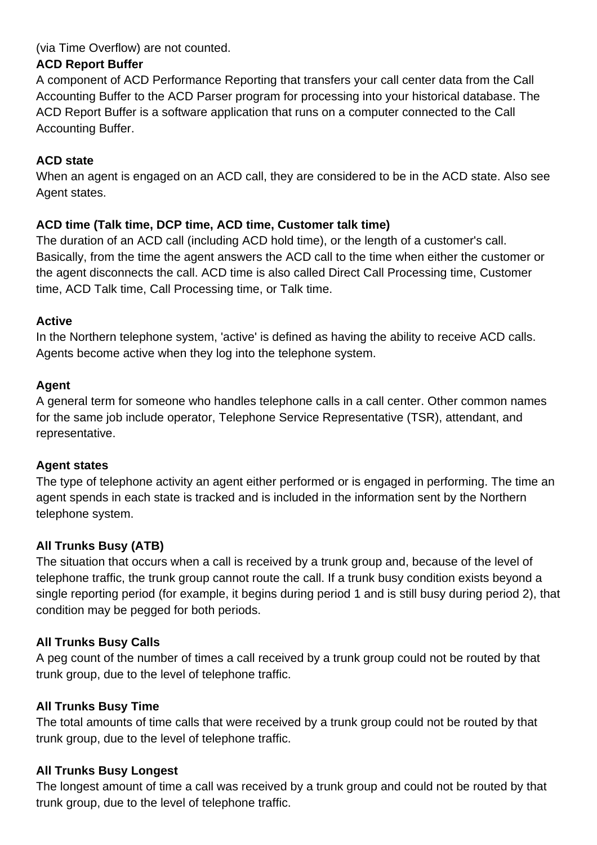(via Time Overflow) are not counted.

## **ACD Report Buffer**

A component of ACD Performance Reporting that transfers your call center data from the Call Accounting Buffer to the ACD Parser program for processing into your historical database. The ACD Report Buffer is a software application that runs on a computer connected to the Call Accounting Buffer.

## **ACD state**

When an agent is engaged on an ACD call, they are considered to be in the ACD state. Also see Agent states.

## **ACD time (Talk time, DCP time, ACD time, Customer talk time)**

The duration of an ACD call (including ACD hold time), or the length of a customer's call. Basically, from the time the agent answers the ACD call to the time when either the customer or the agent disconnects the call. ACD time is also called Direct Call Processing time, Customer time, ACD Talk time, Call Processing time, or Talk time.

## **Active**

In the Northern telephone system, 'active' is defined as having the ability to receive ACD calls. Agents become active when they log into the telephone system.

## **Agent**

A general term for someone who handles telephone calls in a call center. Other common names for the same job include operator, Telephone Service Representative (TSR), attendant, and representative.

## **Agent states**

The type of telephone activity an agent either performed or is engaged in performing. The time an agent spends in each state is tracked and is included in the information sent by the Northern telephone system.

## **All Trunks Busy (ATB)**

The situation that occurs when a call is received by a trunk group and, because of the level of telephone traffic, the trunk group cannot route the call. If a trunk busy condition exists beyond a single reporting period (for example, it begins during period 1 and is still busy during period 2), that condition may be pegged for both periods.

## **All Trunks Busy Calls**

A peg count of the number of times a call received by a trunk group could not be routed by that trunk group, due to the level of telephone traffic.

## **All Trunks Busy Time**

The total amounts of time calls that were received by a trunk group could not be routed by that trunk group, due to the level of telephone traffic.

## **All Trunks Busy Longest**

The longest amount of time a call was received by a trunk group and could not be routed by that trunk group, due to the level of telephone traffic.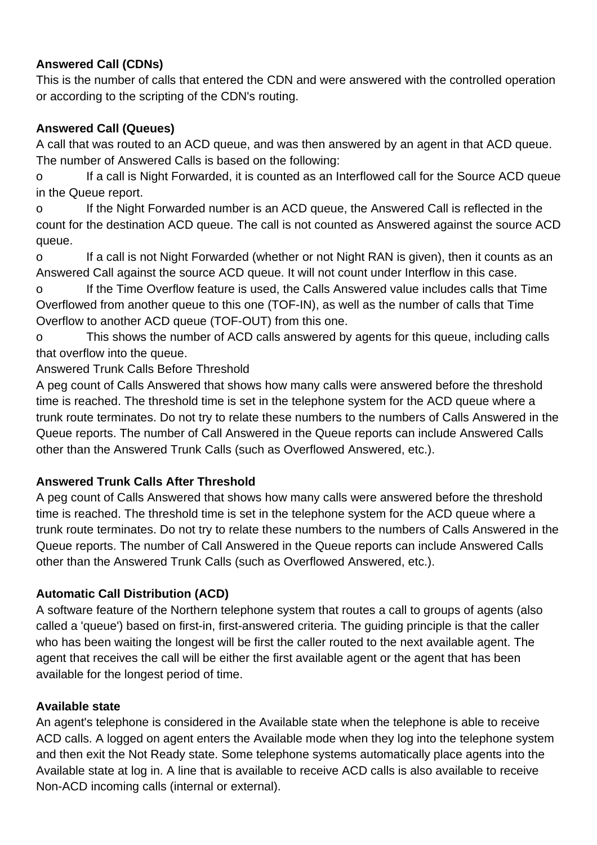## **Answered Call (CDNs)**

This is the number of calls that entered the CDN and were answered with the controlled operation or according to the scripting of the CDN's routing.

## **Answered Call (Queues)**

A call that was routed to an ACD queue, and was then answered by an agent in that ACD queue. The number of Answered Calls is based on the following:

o If a call is Night Forwarded, it is counted as an Interflowed call for the Source ACD queue in the Queue report.

o If the Night Forwarded number is an ACD queue, the Answered Call is reflected in the count for the destination ACD queue. The call is not counted as Answered against the source ACD queue.

o If a call is not Night Forwarded (whether or not Night RAN is given), then it counts as an Answered Call against the source ACD queue. It will not count under Interflow in this case.

o If the Time Overflow feature is used, the Calls Answered value includes calls that Time Overflowed from another queue to this one (TOF-IN), as well as the number of calls that Time Overflow to another ACD queue (TOF-OUT) from this one.

o This shows the number of ACD calls answered by agents for this queue, including calls that overflow into the queue.

Answered Trunk Calls Before Threshold

A peg count of Calls Answered that shows how many calls were answered before the threshold time is reached. The threshold time is set in the telephone system for the ACD queue where a trunk route terminates. Do not try to relate these numbers to the numbers of Calls Answered in the Queue reports. The number of Call Answered in the Queue reports can include Answered Calls other than the Answered Trunk Calls (such as Overflowed Answered, etc.).

## **Answered Trunk Calls After Threshold**

A peg count of Calls Answered that shows how many calls were answered before the threshold time is reached. The threshold time is set in the telephone system for the ACD queue where a trunk route terminates. Do not try to relate these numbers to the numbers of Calls Answered in the Queue reports. The number of Call Answered in the Queue reports can include Answered Calls other than the Answered Trunk Calls (such as Overflowed Answered, etc.).

## **Automatic Call Distribution (ACD)**

A software feature of the Northern telephone system that routes a call to groups of agents (also called a 'queue') based on first-in, first-answered criteria. The guiding principle is that the caller who has been waiting the longest will be first the caller routed to the next available agent. The agent that receives the call will be either the first available agent or the agent that has been available for the longest period of time.

## **Available state**

An agent's telephone is considered in the Available state when the telephone is able to receive ACD calls. A logged on agent enters the Available mode when they log into the telephone system and then exit the Not Ready state. Some telephone systems automatically place agents into the Available state at log in. A line that is available to receive ACD calls is also available to receive Non-ACD incoming calls (internal or external).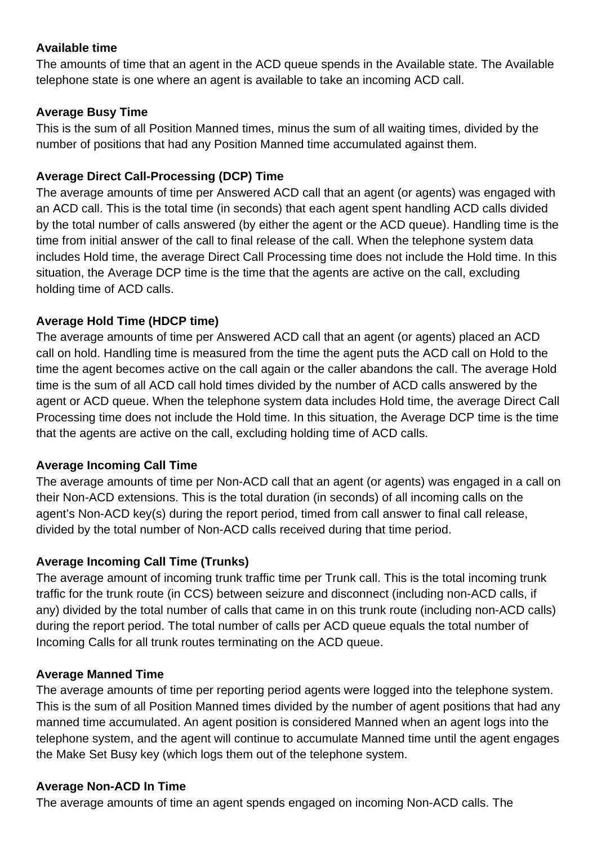## **Available time**

The amounts of time that an agent in the ACD queue spends in the Available state. The Available telephone state is one where an agent is available to take an incoming ACD call.

## **Average Busy Time**

This is the sum of all Position Manned times, minus the sum of all waiting times, divided by the number of positions that had any Position Manned time accumulated against them.

## **Average Direct Call-Processing (DCP) Time**

The average amounts of time per Answered ACD call that an agent (or agents) was engaged with an ACD call. This is the total time (in seconds) that each agent spent handling ACD calls divided by the total number of calls answered (by either the agent or the ACD queue). Handling time is the time from initial answer of the call to final release of the call. When the telephone system data includes Hold time, the average Direct Call Processing time does not include the Hold time. In this situation, the Average DCP time is the time that the agents are active on the call, excluding holding time of ACD calls.

## **Average Hold Time (HDCP time)**

The average amounts of time per Answered ACD call that an agent (or agents) placed an ACD call on hold. Handling time is measured from the time the agent puts the ACD call on Hold to the time the agent becomes active on the call again or the caller abandons the call. The average Hold time is the sum of all ACD call hold times divided by the number of ACD calls answered by the agent or ACD queue. When the telephone system data includes Hold time, the average Direct Call Processing time does not include the Hold time. In this situation, the Average DCP time is the time that the agents are active on the call, excluding holding time of ACD calls.

## **Average Incoming Call Time**

The average amounts of time per Non-ACD call that an agent (or agents) was engaged in a call on their Non-ACD extensions. This is the total duration (in seconds) of all incoming calls on the agent's Non-ACD key(s) during the report period, timed from call answer to final call release, divided by the total number of Non-ACD calls received during that time period.

## **Average Incoming Call Time (Trunks)**

The average amount of incoming trunk traffic time per Trunk call. This is the total incoming trunk traffic for the trunk route (in CCS) between seizure and disconnect (including non-ACD calls, if any) divided by the total number of calls that came in on this trunk route (including non-ACD calls) during the report period. The total number of calls per ACD queue equals the total number of Incoming Calls for all trunk routes terminating on the ACD queue.

## **Average Manned Time**

The average amounts of time per reporting period agents were logged into the telephone system. This is the sum of all Position Manned times divided by the number of agent positions that had any manned time accumulated. An agent position is considered Manned when an agent logs into the telephone system, and the agent will continue to accumulate Manned time until the agent engages the Make Set Busy key (which logs them out of the telephone system.

## **Average Non-ACD In Time**

The average amounts of time an agent spends engaged on incoming Non-ACD calls. The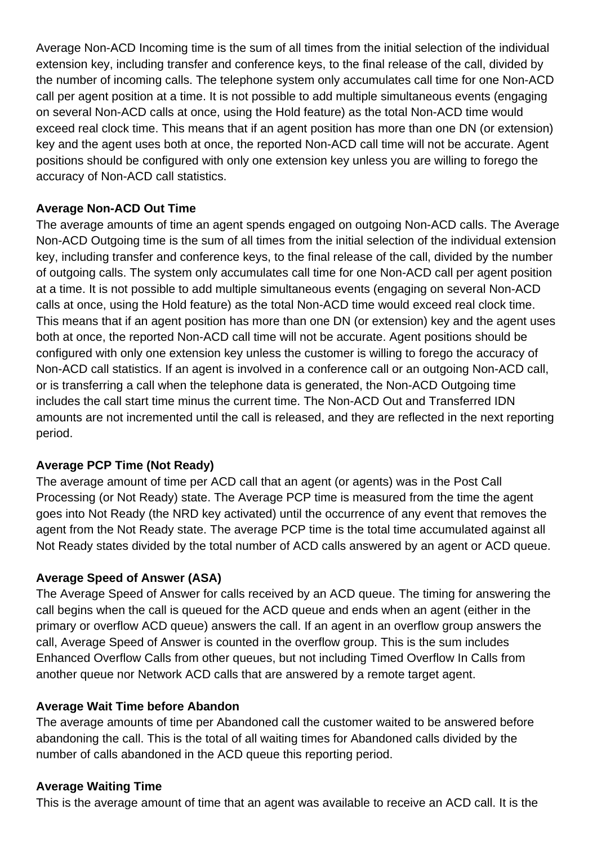Average Non-ACD Incoming time is the sum of all times from the initial selection of the individual extension key, including transfer and conference keys, to the final release of the call, divided by the number of incoming calls. The telephone system only accumulates call time for one Non-ACD call per agent position at a time. It is not possible to add multiple simultaneous events (engaging on several Non-ACD calls at once, using the Hold feature) as the total Non-ACD time would exceed real clock time. This means that if an agent position has more than one DN (or extension) key and the agent uses both at once, the reported Non-ACD call time will not be accurate. Agent positions should be configured with only one extension key unless you are willing to forego the accuracy of Non-ACD call statistics.

## **Average Non-ACD Out Time**

The average amounts of time an agent spends engaged on outgoing Non-ACD calls. The Average Non-ACD Outgoing time is the sum of all times from the initial selection of the individual extension key, including transfer and conference keys, to the final release of the call, divided by the number of outgoing calls. The system only accumulates call time for one Non-ACD call per agent position at a time. It is not possible to add multiple simultaneous events (engaging on several Non-ACD calls at once, using the Hold feature) as the total Non-ACD time would exceed real clock time. This means that if an agent position has more than one DN (or extension) key and the agent uses both at once, the reported Non-ACD call time will not be accurate. Agent positions should be configured with only one extension key unless the customer is willing to forego the accuracy of Non-ACD call statistics. If an agent is involved in a conference call or an outgoing Non-ACD call, or is transferring a call when the telephone data is generated, the Non-ACD Outgoing time includes the call start time minus the current time. The Non-ACD Out and Transferred IDN amounts are not incremented until the call is released, and they are reflected in the next reporting period.

## **Average PCP Time (Not Ready)**

The average amount of time per ACD call that an agent (or agents) was in the Post Call Processing (or Not Ready) state. The Average PCP time is measured from the time the agent goes into Not Ready (the NRD key activated) until the occurrence of any event that removes the agent from the Not Ready state. The average PCP time is the total time accumulated against all Not Ready states divided by the total number of ACD calls answered by an agent or ACD queue.

## **Average Speed of Answer (ASA)**

The Average Speed of Answer for calls received by an ACD queue. The timing for answering the call begins when the call is queued for the ACD queue and ends when an agent (either in the primary or overflow ACD queue) answers the call. If an agent in an overflow group answers the call, Average Speed of Answer is counted in the overflow group. This is the sum includes Enhanced Overflow Calls from other queues, but not including Timed Overflow In Calls from another queue nor Network ACD calls that are answered by a remote target agent.

## **Average Wait Time before Abandon**

The average amounts of time per Abandoned call the customer waited to be answered before abandoning the call. This is the total of all waiting times for Abandoned calls divided by the number of calls abandoned in the ACD queue this reporting period.

## **Average Waiting Time**

This is the average amount of time that an agent was available to receive an ACD call. It is the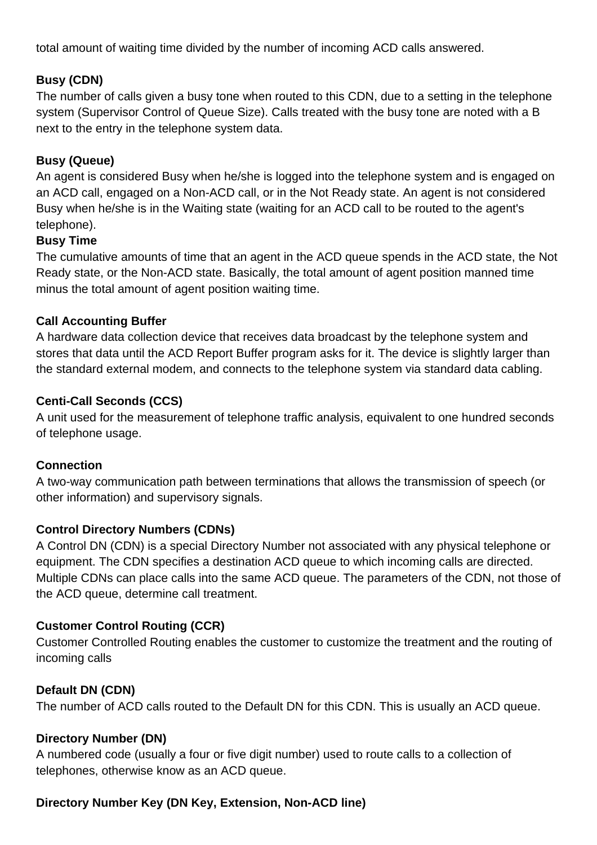total amount of waiting time divided by the number of incoming ACD calls answered.

## **Busy (CDN)**

The number of calls given a busy tone when routed to this CDN, due to a setting in the telephone system (Supervisor Control of Queue Size). Calls treated with the busy tone are noted with a B next to the entry in the telephone system data.

## **Busy (Queue)**

An agent is considered Busy when he/she is logged into the telephone system and is engaged on an ACD call, engaged on a Non-ACD call, or in the Not Ready state. An agent is not considered Busy when he/she is in the Waiting state (waiting for an ACD call to be routed to the agent's telephone).

## **Busy Time**

The cumulative amounts of time that an agent in the ACD queue spends in the ACD state, the Not Ready state, or the Non-ACD state. Basically, the total amount of agent position manned time minus the total amount of agent position waiting time.

## **Call Accounting Buffer**

A hardware data collection device that receives data broadcast by the telephone system and stores that data until the ACD Report Buffer program asks for it. The device is slightly larger than the standard external modem, and connects to the telephone system via standard data cabling.

## **Centi-Call Seconds (CCS)**

A unit used for the measurement of telephone traffic analysis, equivalent to one hundred seconds of telephone usage.

## **Connection**

A two-way communication path between terminations that allows the transmission of speech (or other information) and supervisory signals.

## **Control Directory Numbers (CDNs)**

A Control DN (CDN) is a special Directory Number not associated with any physical telephone or equipment. The CDN specifies a destination ACD queue to which incoming calls are directed. Multiple CDNs can place calls into the same ACD queue. The parameters of the CDN, not those of the ACD queue, determine call treatment.

## **Customer Control Routing (CCR)**

Customer Controlled Routing enables the customer to customize the treatment and the routing of incoming calls

## **Default DN (CDN)**

The number of ACD calls routed to the Default DN for this CDN. This is usually an ACD queue.

## **Directory Number (DN)**

A numbered code (usually a four or five digit number) used to route calls to a collection of telephones, otherwise know as an ACD queue.

## **Directory Number Key (DN Key, Extension, Non-ACD line)**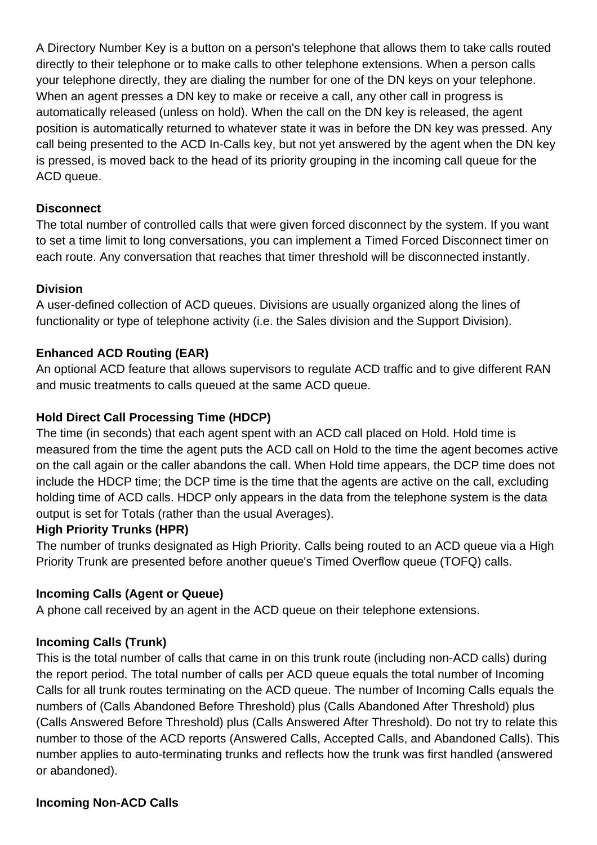A Directory Number Key is a button on a person's telephone that allows them to take calls routed directly to their telephone or to make calls to other telephone extensions. When a person calls your telephone directly, they are dialing the number for one of the DN keys on your telephone. When an agent presses a DN key to make or receive a call, any other call in progress is automatically released (unless on hold). When the call on the DN key is released, the agent position is automatically returned to whatever state it was in before the DN key was pressed. Any call being presented to the ACD In-Calls key, but not yet answered by the agent when the DN key is pressed, is moved back to the head of its priority grouping in the incoming call queue for the ACD queue.

## **Disconnect**

The total number of controlled calls that were given forced disconnect by the system. If you want to set a time limit to long conversations, you can implement a Timed Forced Disconnect timer on each route. Any conversation that reaches that timer threshold will be disconnected instantly.

## **Division**

A user-defined collection of ACD queues. Divisions are usually organized along the lines of functionality or type of telephone activity (i.e. the Sales division and the Support Division).

## **Enhanced ACD Routing (EAR)**

An optional ACD feature that allows supervisors to regulate ACD traffic and to give different RAN and music treatments to calls queued at the same ACD queue.

## **Hold Direct Call Processing Time (HDCP)**

The time (in seconds) that each agent spent with an ACD call placed on Hold. Hold time is measured from the time the agent puts the ACD call on Hold to the time the agent becomes active on the call again or the caller abandons the call. When Hold time appears, the DCP time does not include the HDCP time; the DCP time is the time that the agents are active on the call, excluding holding time of ACD calls. HDCP only appears in the data from the telephone system is the data output is set for Totals (rather than the usual Averages).

## **High Priority Trunks (HPR)**

The number of trunks designated as High Priority. Calls being routed to an ACD queue via a High Priority Trunk are presented before another queue's Timed Overflow queue (TOFQ) calls.

## **Incoming Calls (Agent or Queue)**

A phone call received by an agent in the ACD queue on their telephone extensions.

## **Incoming Calls (Trunk)**

This is the total number of calls that came in on this trunk route (including non-ACD calls) during the report period. The total number of calls per ACD queue equals the total number of Incoming Calls for all trunk routes terminating on the ACD queue. The number of Incoming Calls equals the numbers of (Calls Abandoned Before Threshold) plus (Calls Abandoned After Threshold) plus (Calls Answered Before Threshold) plus (Calls Answered After Threshold). Do not try to relate this number to those of the ACD reports (Answered Calls, Accepted Calls, and Abandoned Calls). This number applies to auto-terminating trunks and reflects how the trunk was first handled (answered or abandoned).

#### **Incoming Non-ACD Calls**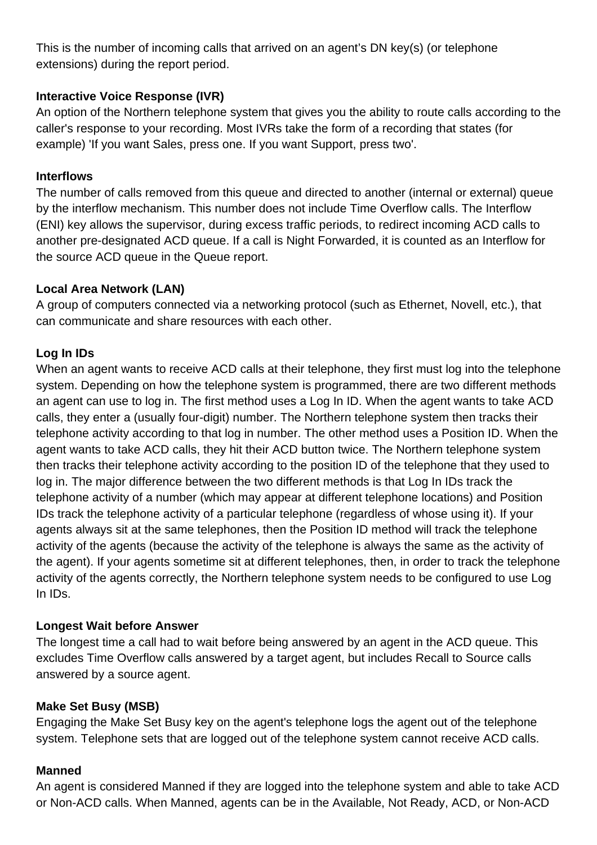This is the number of incoming calls that arrived on an agent's DN key(s) (or telephone extensions) during the report period.

## **Interactive Voice Response (IVR)**

An option of the Northern telephone system that gives you the ability to route calls according to the caller's response to your recording. Most IVRs take the form of a recording that states (for example) 'If you want Sales, press one. If you want Support, press two'.

## **Interflows**

The number of calls removed from this queue and directed to another (internal or external) queue by the interflow mechanism. This number does not include Time Overflow calls. The Interflow (ENI) key allows the supervisor, during excess traffic periods, to redirect incoming ACD calls to another pre-designated ACD queue. If a call is Night Forwarded, it is counted as an Interflow for the source ACD queue in the Queue report.

## **Local Area Network (LAN)**

A group of computers connected via a networking protocol (such as Ethernet, Novell, etc.), that can communicate and share resources with each other.

## **Log In IDs**

When an agent wants to receive ACD calls at their telephone, they first must log into the telephone system. Depending on how the telephone system is programmed, there are two different methods an agent can use to log in. The first method uses a Log In ID. When the agent wants to take ACD calls, they enter a (usually four-digit) number. The Northern telephone system then tracks their telephone activity according to that log in number. The other method uses a Position ID. When the agent wants to take ACD calls, they hit their ACD button twice. The Northern telephone system then tracks their telephone activity according to the position ID of the telephone that they used to log in. The major difference between the two different methods is that Log In IDs track the telephone activity of a number (which may appear at different telephone locations) and Position IDs track the telephone activity of a particular telephone (regardless of whose using it). If your agents always sit at the same telephones, then the Position ID method will track the telephone activity of the agents (because the activity of the telephone is always the same as the activity of the agent). If your agents sometime sit at different telephones, then, in order to track the telephone activity of the agents correctly, the Northern telephone system needs to be configured to use Log In IDs.

## **Longest Wait before Answer**

The longest time a call had to wait before being answered by an agent in the ACD queue. This excludes Time Overflow calls answered by a target agent, but includes Recall to Source calls answered by a source agent.

#### **Make Set Busy (MSB)**

Engaging the Make Set Busy key on the agent's telephone logs the agent out of the telephone system. Telephone sets that are logged out of the telephone system cannot receive ACD calls.

#### **Manned**

An agent is considered Manned if they are logged into the telephone system and able to take ACD or Non-ACD calls. When Manned, agents can be in the Available, Not Ready, ACD, or Non-ACD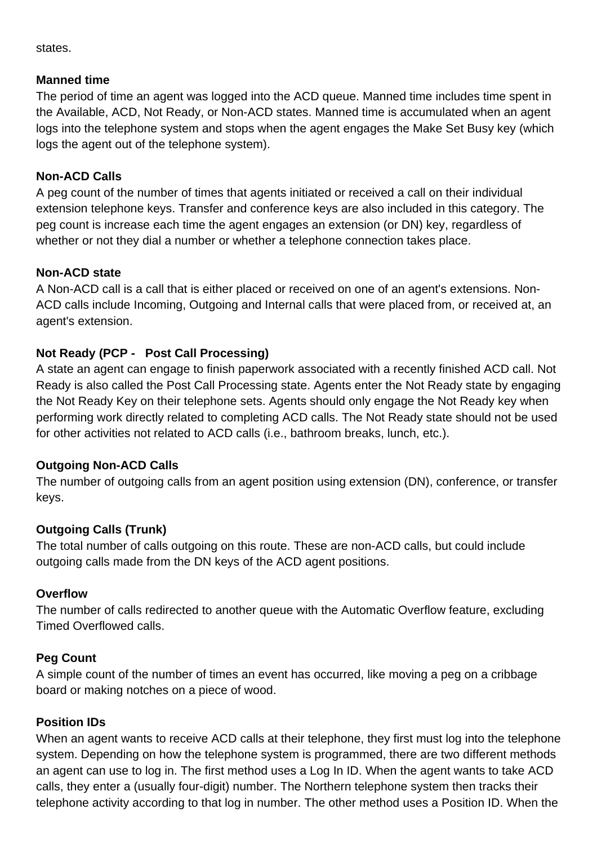states.

## **Manned time**

The period of time an agent was logged into the ACD queue. Manned time includes time spent in the Available, ACD, Not Ready, or Non-ACD states. Manned time is accumulated when an agent logs into the telephone system and stops when the agent engages the Make Set Busy key (which logs the agent out of the telephone system).

## **Non-ACD Calls**

A peg count of the number of times that agents initiated or received a call on their individual extension telephone keys. Transfer and conference keys are also included in this category. The peg count is increase each time the agent engages an extension (or DN) key, regardless of whether or not they dial a number or whether a telephone connection takes place.

## **Non-ACD state**

A Non-ACD call is a call that is either placed or received on one of an agent's extensions. Non-ACD calls include Incoming, Outgoing and Internal calls that were placed from, or received at, an agent's extension.

## **Not Ready (PCP - Post Call Processing)**

A state an agent can engage to finish paperwork associated with a recently finished ACD call. Not Ready is also called the Post Call Processing state. Agents enter the Not Ready state by engaging the Not Ready Key on their telephone sets. Agents should only engage the Not Ready key when performing work directly related to completing ACD calls. The Not Ready state should not be used for other activities not related to ACD calls (i.e., bathroom breaks, lunch, etc.).

## **Outgoing Non-ACD Calls**

The number of outgoing calls from an agent position using extension (DN), conference, or transfer keys.

## **Outgoing Calls (Trunk)**

The total number of calls outgoing on this route. These are non-ACD calls, but could include outgoing calls made from the DN keys of the ACD agent positions.

## **Overflow**

The number of calls redirected to another queue with the Automatic Overflow feature, excluding Timed Overflowed calls.

## **Peg Count**

A simple count of the number of times an event has occurred, like moving a peg on a cribbage board or making notches on a piece of wood.

## **Position IDs**

When an agent wants to receive ACD calls at their telephone, they first must log into the telephone system. Depending on how the telephone system is programmed, there are two different methods an agent can use to log in. The first method uses a Log In ID. When the agent wants to take ACD calls, they enter a (usually four-digit) number. The Northern telephone system then tracks their telephone activity according to that log in number. The other method uses a Position ID. When the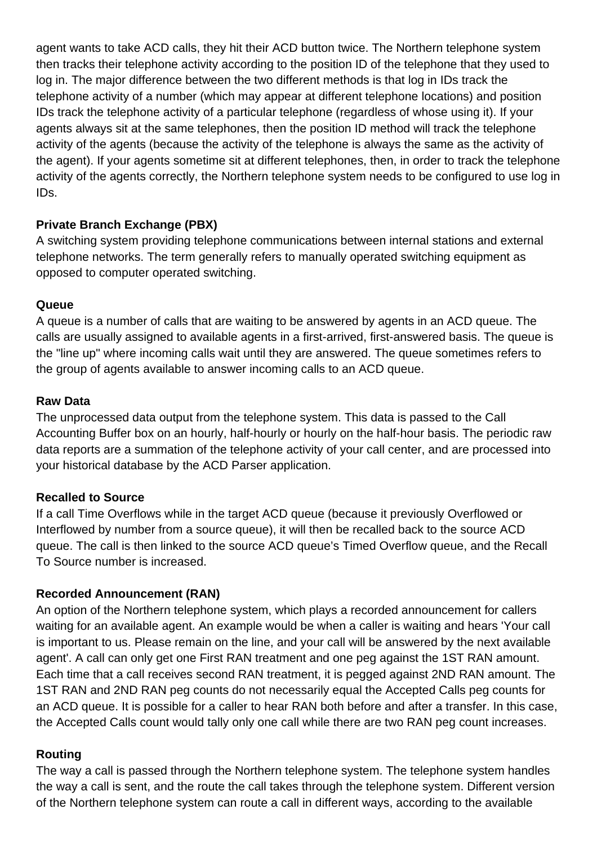agent wants to take ACD calls, they hit their ACD button twice. The Northern telephone system then tracks their telephone activity according to the position ID of the telephone that they used to log in. The major difference between the two different methods is that log in IDs track the telephone activity of a number (which may appear at different telephone locations) and position IDs track the telephone activity of a particular telephone (regardless of whose using it). If your agents always sit at the same telephones, then the position ID method will track the telephone activity of the agents (because the activity of the telephone is always the same as the activity of the agent). If your agents sometime sit at different telephones, then, in order to track the telephone activity of the agents correctly, the Northern telephone system needs to be configured to use log in IDs.

## **Private Branch Exchange (PBX)**

A switching system providing telephone communications between internal stations and external telephone networks. The term generally refers to manually operated switching equipment as opposed to computer operated switching.

#### **Queue**

A queue is a number of calls that are waiting to be answered by agents in an ACD queue. The calls are usually assigned to available agents in a first-arrived, first-answered basis. The queue is the "line up" where incoming calls wait until they are answered. The queue sometimes refers to the group of agents available to answer incoming calls to an ACD queue.

#### **Raw Data**

The unprocessed data output from the telephone system. This data is passed to the Call Accounting Buffer box on an hourly, half-hourly or hourly on the half-hour basis. The periodic raw data reports are a summation of the telephone activity of your call center, and are processed into your historical database by the ACD Parser application.

## **Recalled to Source**

If a call Time Overflows while in the target ACD queue (because it previously Overflowed or Interflowed by number from a source queue), it will then be recalled back to the source ACD queue. The call is then linked to the source ACD queue's Timed Overflow queue, and the Recall To Source number is increased.

## **Recorded Announcement (RAN)**

An option of the Northern telephone system, which plays a recorded announcement for callers waiting for an available agent. An example would be when a caller is waiting and hears 'Your call is important to us. Please remain on the line, and your call will be answered by the next available agent'. A call can only get one First RAN treatment and one peg against the 1ST RAN amount. Each time that a call receives second RAN treatment, it is pegged against 2ND RAN amount. The 1ST RAN and 2ND RAN peg counts do not necessarily equal the Accepted Calls peg counts for an ACD queue. It is possible for a caller to hear RAN both before and after a transfer. In this case, the Accepted Calls count would tally only one call while there are two RAN peg count increases.

## **Routing**

The way a call is passed through the Northern telephone system. The telephone system handles the way a call is sent, and the route the call takes through the telephone system. Different version of the Northern telephone system can route a call in different ways, according to the available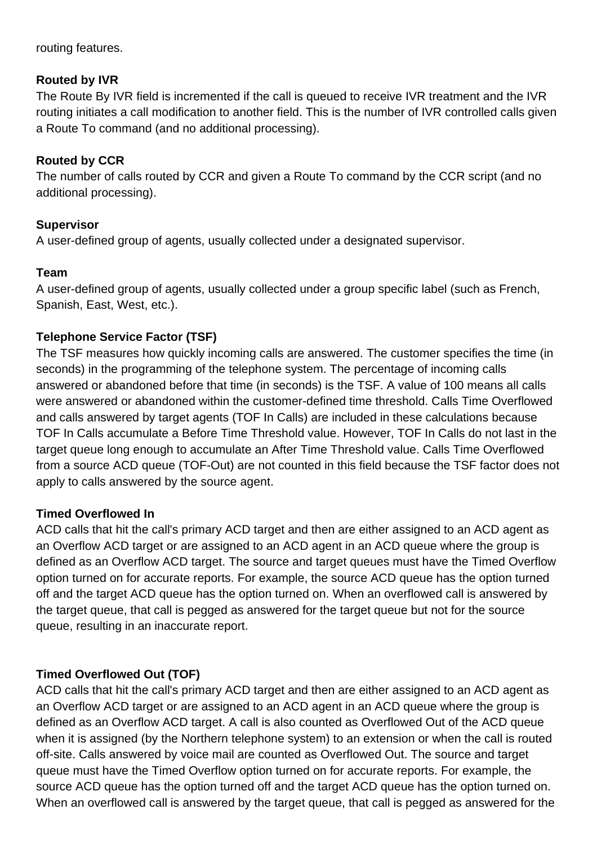routing features.

## **Routed by IVR**

The Route By IVR field is incremented if the call is queued to receive IVR treatment and the IVR routing initiates a call modification to another field. This is the number of IVR controlled calls given a Route To command (and no additional processing).

## **Routed by CCR**

The number of calls routed by CCR and given a Route To command by the CCR script (and no additional processing).

## **Supervisor**

A user-defined group of agents, usually collected under a designated supervisor.

## **Team**

A user-defined group of agents, usually collected under a group specific label (such as French, Spanish, East, West, etc.).

## **Telephone Service Factor (TSF)**

The TSF measures how quickly incoming calls are answered. The customer specifies the time (in seconds) in the programming of the telephone system. The percentage of incoming calls answered or abandoned before that time (in seconds) is the TSF. A value of 100 means all calls were answered or abandoned within the customer-defined time threshold. Calls Time Overflowed and calls answered by target agents (TOF In Calls) are included in these calculations because TOF In Calls accumulate a Before Time Threshold value. However, TOF In Calls do not last in the target queue long enough to accumulate an After Time Threshold value. Calls Time Overflowed from a source ACD queue (TOF-Out) are not counted in this field because the TSF factor does not apply to calls answered by the source agent.

## **Timed Overflowed In**

ACD calls that hit the call's primary ACD target and then are either assigned to an ACD agent as an Overflow ACD target or are assigned to an ACD agent in an ACD queue where the group is defined as an Overflow ACD target. The source and target queues must have the Timed Overflow option turned on for accurate reports. For example, the source ACD queue has the option turned off and the target ACD queue has the option turned on. When an overflowed call is answered by the target queue, that call is pegged as answered for the target queue but not for the source queue, resulting in an inaccurate report.

## **Timed Overflowed Out (TOF)**

ACD calls that hit the call's primary ACD target and then are either assigned to an ACD agent as an Overflow ACD target or are assigned to an ACD agent in an ACD queue where the group is defined as an Overflow ACD target. A call is also counted as Overflowed Out of the ACD queue when it is assigned (by the Northern telephone system) to an extension or when the call is routed off-site. Calls answered by voice mail are counted as Overflowed Out. The source and target queue must have the Timed Overflow option turned on for accurate reports. For example, the source ACD queue has the option turned off and the target ACD queue has the option turned on. When an overflowed call is answered by the target queue, that call is pegged as answered for the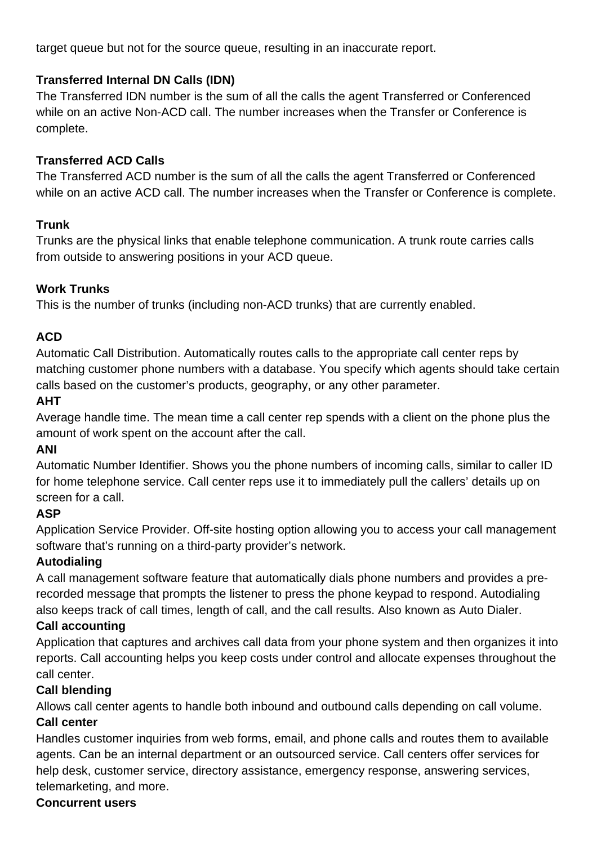target queue but not for the source queue, resulting in an inaccurate report.

## **Transferred Internal DN Calls (IDN)**

The Transferred IDN number is the sum of all the calls the agent Transferred or Conferenced while on an active Non-ACD call. The number increases when the Transfer or Conference is complete.

## **Transferred ACD Calls**

The Transferred ACD number is the sum of all the calls the agent Transferred or Conferenced while on an active ACD call. The number increases when the Transfer or Conference is complete.

## **Trunk**

Trunks are the physical links that enable telephone communication. A trunk route carries calls from outside to answering positions in your ACD queue.

## **Work Trunks**

This is the number of trunks (including non-ACD trunks) that are currently enabled.

## **ACD**

Automatic Call Distribution. Automatically routes calls to the appropriate call center reps by matching customer phone numbers with a database. You specify which agents should take certain calls based on the customer's products, geography, or any other parameter.

## **AHT**

Average handle time. The mean time a call center rep spends with a client on the phone plus the amount of work spent on the account after the call.

## **ANI**

Automatic Number Identifier. Shows you the phone numbers of incoming calls, similar to caller ID for home telephone service. Call center reps use it to immediately pull the callers' details up on screen for a call.

## **ASP**

Application Service Provider. Off-site hosting option allowing you to access your call management software that's running on a third-party provider's network.

## **Autodialing**

A call management software feature that automatically dials phone numbers and provides a prerecorded message that prompts the listener to press the phone keypad to respond. Autodialing also keeps track of call times, length of call, and the call results. Also known as Auto Dialer.

## **Call accounting**

Application that captures and archives call data from your phone system and then organizes it into reports. Call accounting helps you keep costs under control and allocate expenses throughout the call center.

## **Call blending**

Allows call center agents to handle both inbound and outbound calls depending on call volume. **Call center**

Handles customer inquiries from web forms, email, and phone calls and routes them to available agents. Can be an internal department or an outsourced service. Call centers offer services for help desk, customer service, directory assistance, emergency response, answering services, telemarketing, and more.

#### **Concurrent users**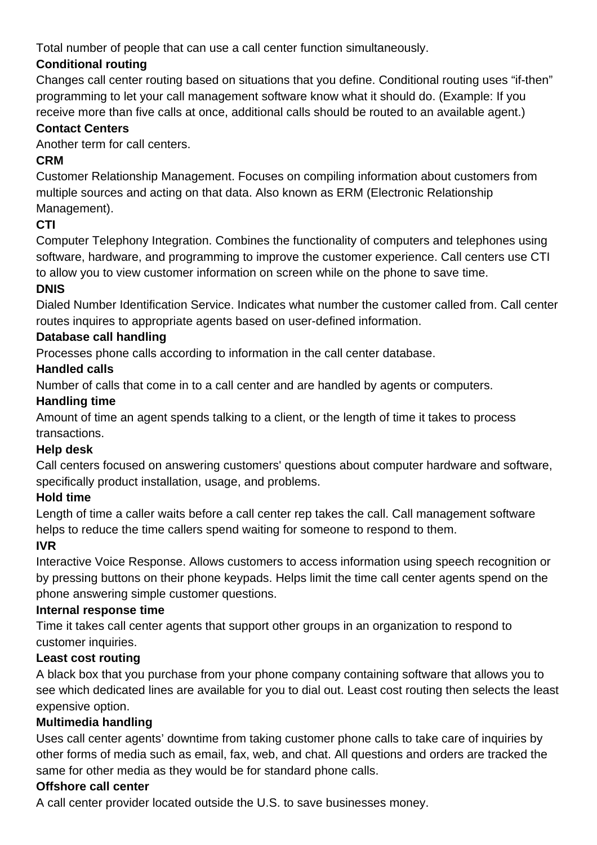Total number of people that can use a call center function simultaneously.

# **Conditional routing**

Changes call center routing based on situations that you define. Conditional routing uses "if-then" programming to let your call management software know what it should do. (Example: If you receive more than five calls at once, additional calls should be routed to an available agent.)

## **Contact Centers**

Another term for call centers.

# **CRM**

Customer Relationship Management. Focuses on compiling information about customers from multiple sources and acting on that data. Also known as ERM (Electronic Relationship Management).

# **CTI**

Computer Telephony Integration. Combines the functionality of computers and telephones using software, hardware, and programming to improve the customer experience. Call centers use CTI to allow you to view customer information on screen while on the phone to save time.

# **DNIS**

Dialed Number Identification Service. Indicates what number the customer called from. Call center routes inquires to appropriate agents based on user-defined information.

# **Database call handling**

Processes phone calls according to information in the call center database.

## **Handled calls**

Number of calls that come in to a call center and are handled by agents or computers.

# **Handling time**

Amount of time an agent spends talking to a client, or the length of time it takes to process transactions.

## **Help desk**

Call centers focused on answering customers' questions about computer hardware and software, specifically product installation, usage, and problems.

# **Hold time**

Length of time a caller waits before a call center rep takes the call. Call management software helps to reduce the time callers spend waiting for someone to respond to them.

# **IVR**

Interactive Voice Response. Allows customers to access information using speech recognition or by pressing buttons on their phone keypads. Helps limit the time call center agents spend on the phone answering simple customer questions.

## **Internal response time**

Time it takes call center agents that support other groups in an organization to respond to customer inquiries.

## **Least cost routing**

A black box that you purchase from your phone company containing software that allows you to see which dedicated lines are available for you to dial out. Least cost routing then selects the least expensive option.

## **Multimedia handling**

Uses call center agents' downtime from taking customer phone calls to take care of inquiries by other forms of media such as email, fax, web, and chat. All questions and orders are tracked the same for other media as they would be for standard phone calls.

## **Offshore call center**

A call center provider located outside the U.S. to save businesses money.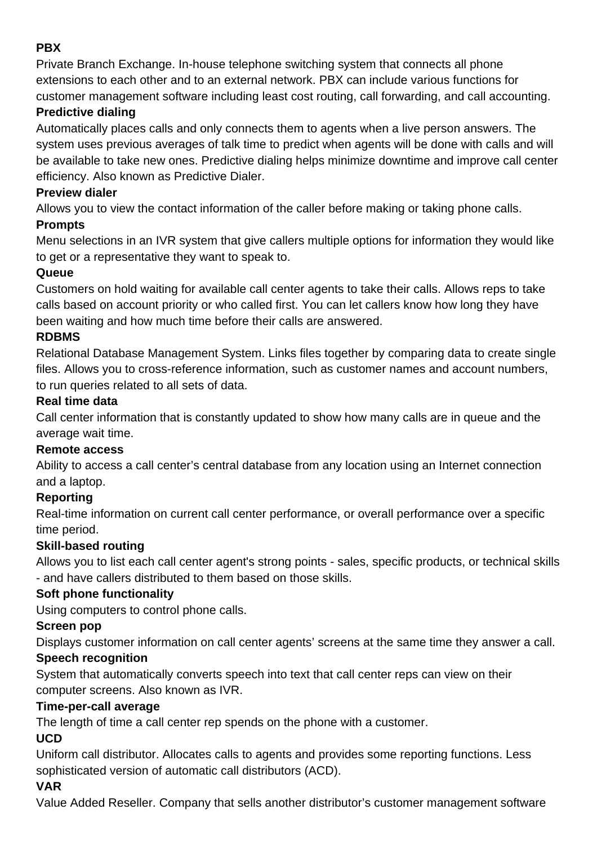## **PBX**

Private Branch Exchange. In-house telephone switching system that connects all phone extensions to each other and to an external network. PBX can include various functions for customer management software including least cost routing, call forwarding, and call accounting.

## **Predictive dialing**

Automatically places calls and only connects them to agents when a live person answers. The system uses previous averages of talk time to predict when agents will be done with calls and will be available to take new ones. Predictive dialing helps minimize downtime and improve call center efficiency. Also known as Predictive Dialer.

## **Preview dialer**

Allows you to view the contact information of the caller before making or taking phone calls.

## **Prompts**

Menu selections in an IVR system that give callers multiple options for information they would like to get or a representative they want to speak to.

## **Queue**

Customers on hold waiting for available call center agents to take their calls. Allows reps to take calls based on account priority or who called first. You can let callers know how long they have been waiting and how much time before their calls are answered.

## **RDBMS**

Relational Database Management System. Links files together by comparing data to create single files. Allows you to cross-reference information, such as customer names and account numbers, to run queries related to all sets of data.

## **Real time data**

Call center information that is constantly updated to show how many calls are in queue and the average wait time.

## **Remote access**

Ability to access a call center's central database from any location using an Internet connection and a laptop.

## **Reporting**

Real-time information on current call center performance, or overall performance over a specific time period.

## **Skill-based routing**

Allows you to list each call center agent's strong points - sales, specific products, or technical skills - and have callers distributed to them based on those skills.

## **Soft phone functionality**

Using computers to control phone calls.

## **Screen pop**

Displays customer information on call center agents' screens at the same time they answer a call.

## **Speech recognition**

System that automatically converts speech into text that call center reps can view on their computer screens. Also known as IVR.

## **Time-per-call average**

The length of time a call center rep spends on the phone with a customer.

## **UCD**

Uniform call distributor. Allocates calls to agents and provides some reporting functions. Less sophisticated version of automatic call distributors (ACD).

## **VAR**

Value Added Reseller. Company that sells another distributor's customer management software